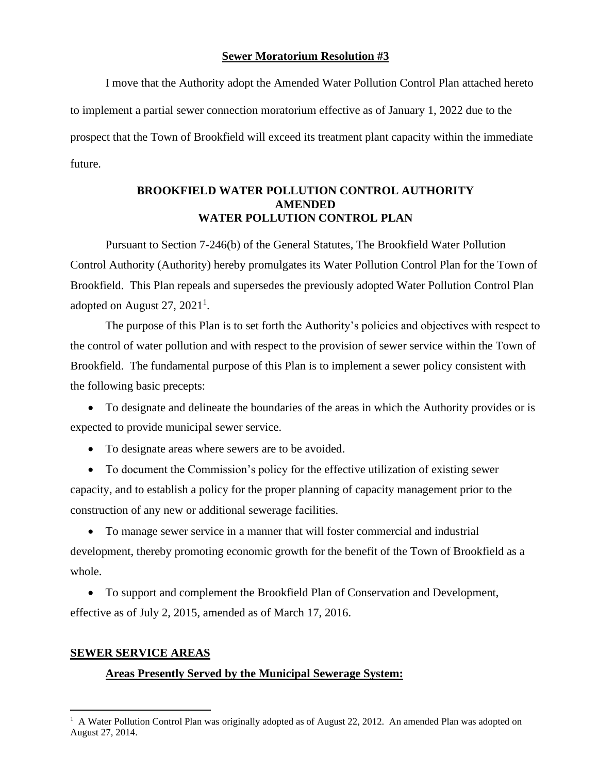### **Sewer Moratorium Resolution #3**

I move that the Authority adopt the Amended Water Pollution Control Plan attached hereto to implement a partial sewer connection moratorium effective as of January 1, 2022 due to the prospect that the Town of Brookfield will exceed its treatment plant capacity within the immediate future.

# **BROOKFIELD WATER POLLUTION CONTROL AUTHORITY AMENDED WATER POLLUTION CONTROL PLAN**

Pursuant to Section 7-246(b) of the General Statutes, The Brookfield Water Pollution Control Authority (Authority) hereby promulgates its Water Pollution Control Plan for the Town of Brookfield. This Plan repeals and supersedes the previously adopted Water Pollution Control Plan adopted on August 27,  $2021<sup>1</sup>$ .

The purpose of this Plan is to set forth the Authority's policies and objectives with respect to the control of water pollution and with respect to the provision of sewer service within the Town of Brookfield. The fundamental purpose of this Plan is to implement a sewer policy consistent with the following basic precepts:

• To designate and delineate the boundaries of the areas in which the Authority provides or is expected to provide municipal sewer service.

• To designate areas where sewers are to be avoided.

• To document the Commission's policy for the effective utilization of existing sewer capacity, and to establish a policy for the proper planning of capacity management prior to the construction of any new or additional sewerage facilities.

• To manage sewer service in a manner that will foster commercial and industrial development, thereby promoting economic growth for the benefit of the Town of Brookfield as a whole.

• To support and complement the Brookfield Plan of Conservation and Development, effective as of July 2, 2015, amended as of March 17, 2016.

# **SEWER SERVICE AREAS**

# **Areas Presently Served by the Municipal Sewerage System:**

<sup>&</sup>lt;sup>1</sup> A Water Pollution Control Plan was originally adopted as of August 22, 2012. An amended Plan was adopted on August 27, 2014.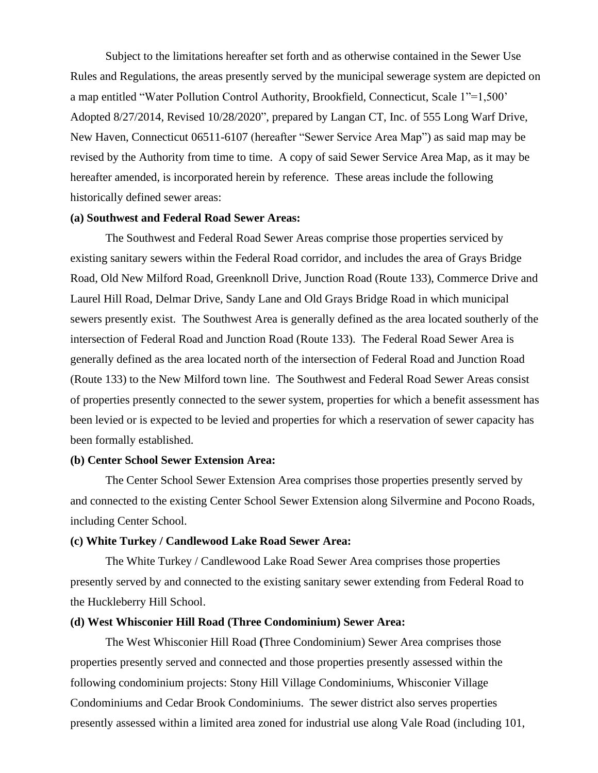Subject to the limitations hereafter set forth and as otherwise contained in the Sewer Use Rules and Regulations, the areas presently served by the municipal sewerage system are depicted on a map entitled "Water Pollution Control Authority, Brookfield, Connecticut, Scale 1"=1,500' Adopted 8/27/2014, Revised 10/28/2020", prepared by Langan CT, Inc. of 555 Long Warf Drive, New Haven, Connecticut 06511-6107 (hereafter "Sewer Service Area Map") as said map may be revised by the Authority from time to time. A copy of said Sewer Service Area Map, as it may be hereafter amended, is incorporated herein by reference. These areas include the following historically defined sewer areas:

#### **(a) Southwest and Federal Road Sewer Areas:**

The Southwest and Federal Road Sewer Areas comprise those properties serviced by existing sanitary sewers within the Federal Road corridor, and includes the area of Grays Bridge Road, Old New Milford Road, Greenknoll Drive, Junction Road (Route 133), Commerce Drive and Laurel Hill Road, Delmar Drive, Sandy Lane and Old Grays Bridge Road in which municipal sewers presently exist. The Southwest Area is generally defined as the area located southerly of the intersection of Federal Road and Junction Road (Route 133). The Federal Road Sewer Area is generally defined as the area located north of the intersection of Federal Road and Junction Road (Route 133) to the New Milford town line. The Southwest and Federal Road Sewer Areas consist of properties presently connected to the sewer system, properties for which a benefit assessment has been levied or is expected to be levied and properties for which a reservation of sewer capacity has been formally established.

#### **(b) Center School Sewer Extension Area:**

The Center School Sewer Extension Area comprises those properties presently served by and connected to the existing Center School Sewer Extension along Silvermine and Pocono Roads, including Center School.

#### **(c) White Turkey / Candlewood Lake Road Sewer Area:**

The White Turkey / Candlewood Lake Road Sewer Area comprises those properties presently served by and connected to the existing sanitary sewer extending from Federal Road to the Huckleberry Hill School.

#### **(d) West Whisconier Hill Road (Three Condominium) Sewer Area:**

The West Whisconier Hill Road **(**Three Condominium) Sewer Area comprises those properties presently served and connected and those properties presently assessed within the following condominium projects: Stony Hill Village Condominiums, Whisconier Village Condominiums and Cedar Brook Condominiums. The sewer district also serves properties presently assessed within a limited area zoned for industrial use along Vale Road (including 101,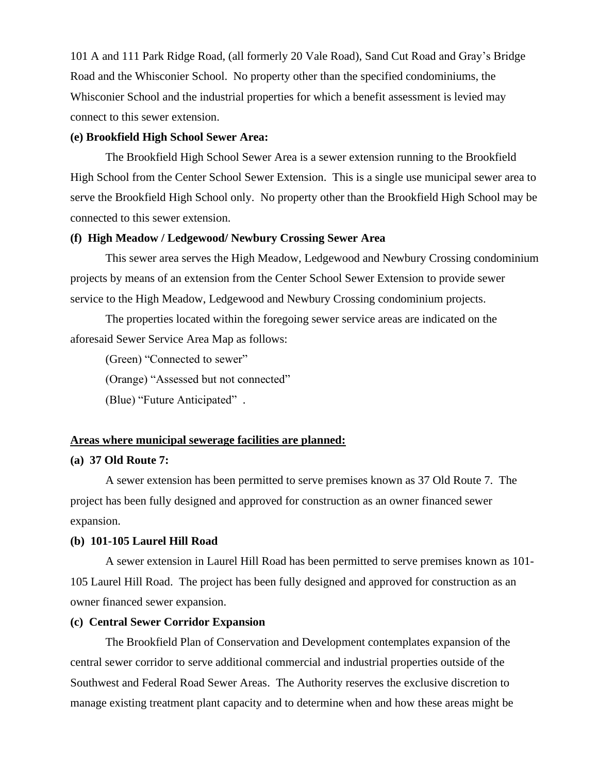101 A and 111 Park Ridge Road, (all formerly 20 Vale Road), Sand Cut Road and Gray's Bridge Road and the Whisconier School. No property other than the specified condominiums, the Whisconier School and the industrial properties for which a benefit assessment is levied may connect to this sewer extension.

#### **(e) Brookfield High School Sewer Area:**

The Brookfield High School Sewer Area is a sewer extension running to the Brookfield High School from the Center School Sewer Extension. This is a single use municipal sewer area to serve the Brookfield High School only. No property other than the Brookfield High School may be connected to this sewer extension.

#### **(f) High Meadow / Ledgewood/ Newbury Crossing Sewer Area**

This sewer area serves the High Meadow, Ledgewood and Newbury Crossing condominium projects by means of an extension from the Center School Sewer Extension to provide sewer service to the High Meadow, Ledgewood and Newbury Crossing condominium projects.

The properties located within the foregoing sewer service areas are indicated on the aforesaid Sewer Service Area Map as follows:

(Green) "Connected to sewer"

(Orange) "Assessed but not connected"

(Blue) "Future Anticipated" .

#### **Areas where municipal sewerage facilities are planned:**

#### **(a) 37 Old Route 7:**

A sewer extension has been permitted to serve premises known as 37 Old Route 7. The project has been fully designed and approved for construction as an owner financed sewer expansion.

#### **(b) 101-105 Laurel Hill Road**

A sewer extension in Laurel Hill Road has been permitted to serve premises known as 101- 105 Laurel Hill Road. The project has been fully designed and approved for construction as an owner financed sewer expansion.

#### **(c) Central Sewer Corridor Expansion**

The Brookfield Plan of Conservation and Development contemplates expansion of the central sewer corridor to serve additional commercial and industrial properties outside of the Southwest and Federal Road Sewer Areas. The Authority reserves the exclusive discretion to manage existing treatment plant capacity and to determine when and how these areas might be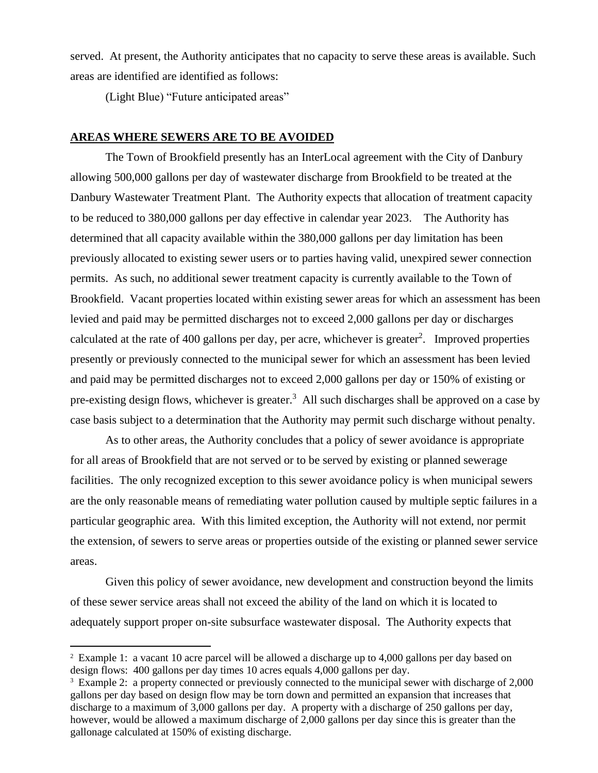served. At present, the Authority anticipates that no capacity to serve these areas is available. Such areas are identified are identified as follows:

(Light Blue) "Future anticipated areas"

#### **AREAS WHERE SEWERS ARE TO BE AVOIDED**

The Town of Brookfield presently has an InterLocal agreement with the City of Danbury allowing 500,000 gallons per day of wastewater discharge from Brookfield to be treated at the Danbury Wastewater Treatment Plant. The Authority expects that allocation of treatment capacity to be reduced to 380,000 gallons per day effective in calendar year 2023. The Authority has determined that all capacity available within the 380,000 gallons per day limitation has been previously allocated to existing sewer users or to parties having valid, unexpired sewer connection permits. As such, no additional sewer treatment capacity is currently available to the Town of Brookfield. Vacant properties located within existing sewer areas for which an assessment has been levied and paid may be permitted discharges not to exceed 2,000 gallons per day or discharges calculated at the rate of 400 gallons per day, per acre, whichever is greater<sup>2</sup>. Improved properties presently or previously connected to the municipal sewer for which an assessment has been levied and paid may be permitted discharges not to exceed 2,000 gallons per day or 150% of existing or pre-existing design flows, whichever is greater.<sup>3</sup> All such discharges shall be approved on a case by case basis subject to a determination that the Authority may permit such discharge without penalty.

As to other areas, the Authority concludes that a policy of sewer avoidance is appropriate for all areas of Brookfield that are not served or to be served by existing or planned sewerage facilities. The only recognized exception to this sewer avoidance policy is when municipal sewers are the only reasonable means of remediating water pollution caused by multiple septic failures in a particular geographic area. With this limited exception, the Authority will not extend, nor permit the extension, of sewers to serve areas or properties outside of the existing or planned sewer service areas.

Given this policy of sewer avoidance, new development and construction beyond the limits of these sewer service areas shall not exceed the ability of the land on which it is located to adequately support proper on-site subsurface wastewater disposal. The Authority expects that

<sup>&</sup>lt;sup>2</sup> Example 1: a vacant 10 acre parcel will be allowed a discharge up to 4,000 gallons per day based on design flows: 400 gallons per day times 10 acres equals 4,000 gallons per day.

<sup>&</sup>lt;sup>3</sup> Example 2: a property connected or previously connected to the municipal sewer with discharge of 2,000 gallons per day based on design flow may be torn down and permitted an expansion that increases that discharge to a maximum of 3,000 gallons per day. A property with a discharge of 250 gallons per day, however, would be allowed a maximum discharge of 2,000 gallons per day since this is greater than the gallonage calculated at 150% of existing discharge.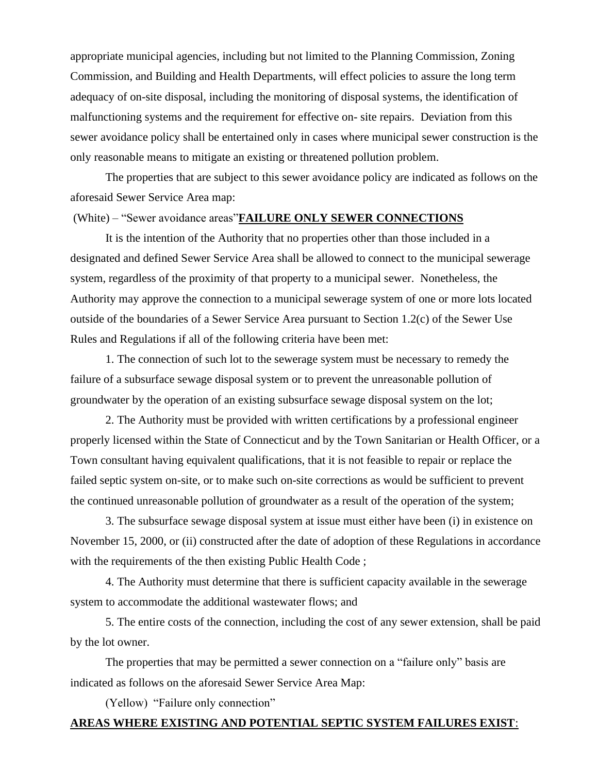appropriate municipal agencies, including but not limited to the Planning Commission, Zoning Commission, and Building and Health Departments, will effect policies to assure the long term adequacy of on-site disposal, including the monitoring of disposal systems, the identification of malfunctioning systems and the requirement for effective on- site repairs. Deviation from this sewer avoidance policy shall be entertained only in cases where municipal sewer construction is the only reasonable means to mitigate an existing or threatened pollution problem.

The properties that are subject to this sewer avoidance policy are indicated as follows on the aforesaid Sewer Service Area map:

#### (White) – "Sewer avoidance areas"**FAILURE ONLY SEWER CONNECTIONS**

It is the intention of the Authority that no properties other than those included in a designated and defined Sewer Service Area shall be allowed to connect to the municipal sewerage system, regardless of the proximity of that property to a municipal sewer. Nonetheless, the Authority may approve the connection to a municipal sewerage system of one or more lots located outside of the boundaries of a Sewer Service Area pursuant to Section 1.2(c) of the Sewer Use Rules and Regulations if all of the following criteria have been met:

1. The connection of such lot to the sewerage system must be necessary to remedy the failure of a subsurface sewage disposal system or to prevent the unreasonable pollution of groundwater by the operation of an existing subsurface sewage disposal system on the lot;

2. The Authority must be provided with written certifications by a professional engineer properly licensed within the State of Connecticut and by the Town Sanitarian or Health Officer, or a Town consultant having equivalent qualifications, that it is not feasible to repair or replace the failed septic system on-site, or to make such on-site corrections as would be sufficient to prevent the continued unreasonable pollution of groundwater as a result of the operation of the system;

3. The subsurface sewage disposal system at issue must either have been (i) in existence on November 15, 2000, or (ii) constructed after the date of adoption of these Regulations in accordance with the requirements of the then existing Public Health Code;

4. The Authority must determine that there is sufficient capacity available in the sewerage system to accommodate the additional wastewater flows; and

5. The entire costs of the connection, including the cost of any sewer extension, shall be paid by the lot owner.

The properties that may be permitted a sewer connection on a "failure only" basis are indicated as follows on the aforesaid Sewer Service Area Map:

(Yellow) "Failure only connection"

# **AREAS WHERE EXISTING AND POTENTIAL SEPTIC SYSTEM FAILURES EXIST**: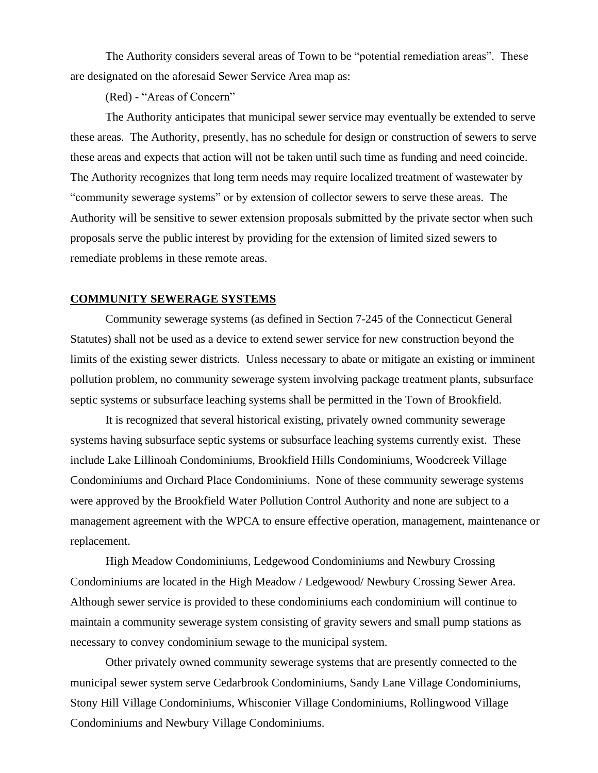The Authority considers several areas of Town to be "potential remediation areas". These are designated on the aforesaid Sewer Service Area map as:

(Red) - "Areas of Concern"

The Authority anticipates that municipal sewer service may eventually be extended to serve these areas. The Authority, presently, has no schedule for design or construction of sewers to serve these areas and expects that action will not be taken until such time as funding and need coincide. The Authority recognizes that long term needs may require localized treatment of wastewater by "community sewerage systems" or by extension of collector sewers to serve these areas. The Authority will be sensitive to sewer extension proposals submitted by the private sector when such proposals serve the public interest by providing for the extension of limited sized sewers to remediate problems in these remote areas.

#### **COMMUNITY SEWERAGE SYSTEMS**

Community sewerage systems (as defined in Section 7-245 of the Connecticut General Statutes) shall not be used as a device to extend sewer service for new construction beyond the limits of the existing sewer districts. Unless necessary to abate or mitigate an existing or imminent pollution problem, no community sewerage system involving package treatment plants, subsurface septic systems or subsurface leaching systems shall be permitted in the Town of Brookfield.

It is recognized that several historical existing, privately owned community sewerage systems having subsurface septic systems or subsurface leaching systems currently exist. These include Lake Lillinoah Condominiums, Brookfield Hills Condominiums, Woodcreek Village Condominiums and Orchard Place Condominiums. None of these community sewerage systems were approved by the Brookfield Water Pollution Control Authority and none are subject to a management agreement with the WPCA to ensure effective operation, management, maintenance or replacement.

High Meadow Condominiums, Ledgewood Condominiums and Newbury Crossing Condominiums are located in the High Meadow / Ledgewood/ Newbury Crossing Sewer Area. Although sewer service is provided to these condominiums each condominium will continue to maintain a community sewerage system consisting of gravity sewers and small pump stations as necessary to convey condominium sewage to the municipal system.

Other privately owned community sewerage systems that are presently connected to the municipal sewer system serve Cedarbrook Condominiums, Sandy Lane Village Condominiums, Stony Hill Village Condominiums, Whisconier Village Condominiums, Rollingwood Village Condominiums and Newbury Village Condominiums.